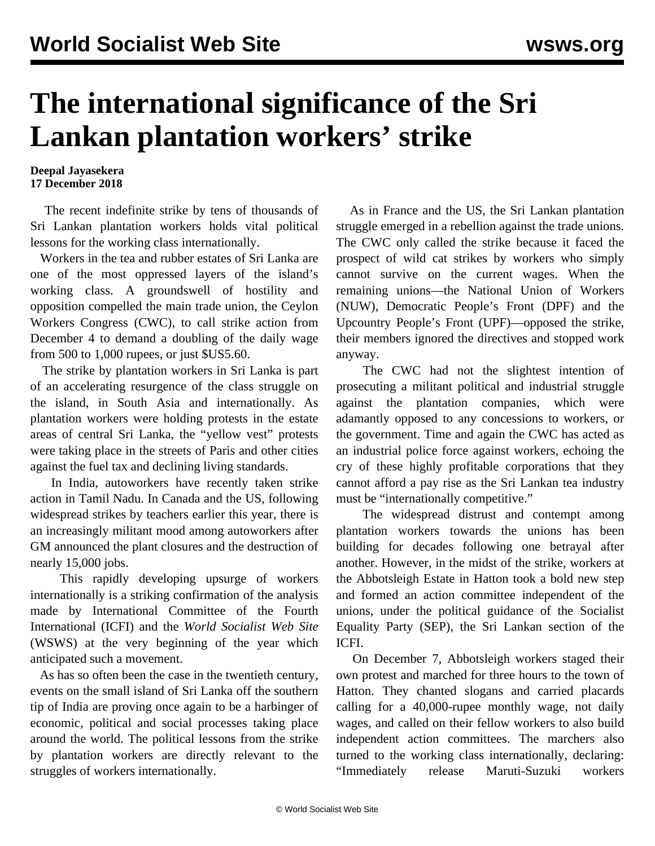## **The international significance of the Sri Lankan plantation workers' strike**

## **Deepal Jayasekera 17 December 2018**

 The recent indefinite strike by tens of thousands of Sri Lankan plantation workers holds vital political lessons for the working class internationally.

 Workers in the tea and rubber estates of Sri Lanka are one of the most oppressed layers of the island's working class. A groundswell of hostility and opposition compelled the main trade union, the Ceylon Workers Congress (CWC), to call strike action from December 4 to demand a doubling of the daily wage from 500 to 1,000 rupees, or just \$US5.60.

 The strike by plantation workers in Sri Lanka is part of an accelerating resurgence of the class struggle on the island, in South Asia and internationally. As plantation workers were holding protests in the estate areas of central Sri Lanka, the "yellow vest" protests were taking place in the streets of Paris and other cities against the fuel tax and declining living standards.

 In India, autoworkers have recently taken strike action in Tamil Nadu. In Canada and the US, following widespread strikes by teachers earlier this year, there is an increasingly militant mood among autoworkers after GM announced the plant closures and the destruction of nearly 15,000 jobs.

 This rapidly developing upsurge of workers internationally is a striking confirmation of the analysis made by International Committee of the Fourth International (ICFI) and the *World Socialist Web Site* (WSWS) at the very beginning of the year which anticipated such a movement.

 As has so often been the case in the twentieth century, events on the small island of Sri Lanka off the southern tip of India are proving once again to be a harbinger of economic, political and social processes taking place around the world. The political lessons from the strike by plantation workers are directly relevant to the struggles of workers internationally.

 As in France and the US, the Sri Lankan plantation struggle emerged in a rebellion against the trade unions. The CWC only called the strike because it faced the prospect of wild cat strikes by workers who simply cannot survive on the current wages. When the remaining unions—the National Union of Workers (NUW), Democratic People's Front (DPF) and the Upcountry People's Front (UPF)—opposed the strike, their members ignored the directives and stopped work anyway.

 The CWC had not the slightest intention of prosecuting a militant political and industrial struggle against the plantation companies, which were adamantly opposed to any concessions to workers, or the government. Time and again the CWC has acted as an industrial police force against workers, echoing the cry of these highly profitable corporations that they cannot afford a pay rise as the Sri Lankan tea industry must be "internationally competitive."

 The widespread distrust and contempt among plantation workers towards the unions has been building for decades following one betrayal after another. However, in the midst of the strike, workers at the Abbotsleigh Estate in Hatton took a bold new step and formed an action committee independent of the unions, under the political guidance of the Socialist Equality Party (SEP), the Sri Lankan section of the ICFI.

 On December 7, Abbotsleigh workers staged their own protest and marched for three hours to the town of Hatton. They chanted slogans and carried placards calling for a 40,000-rupee monthly wage, not daily wages, and called on their fellow workers to also build independent action committees. The marchers also turned to the working class internationally, declaring: "Immediately release Maruti-Suzuki workers